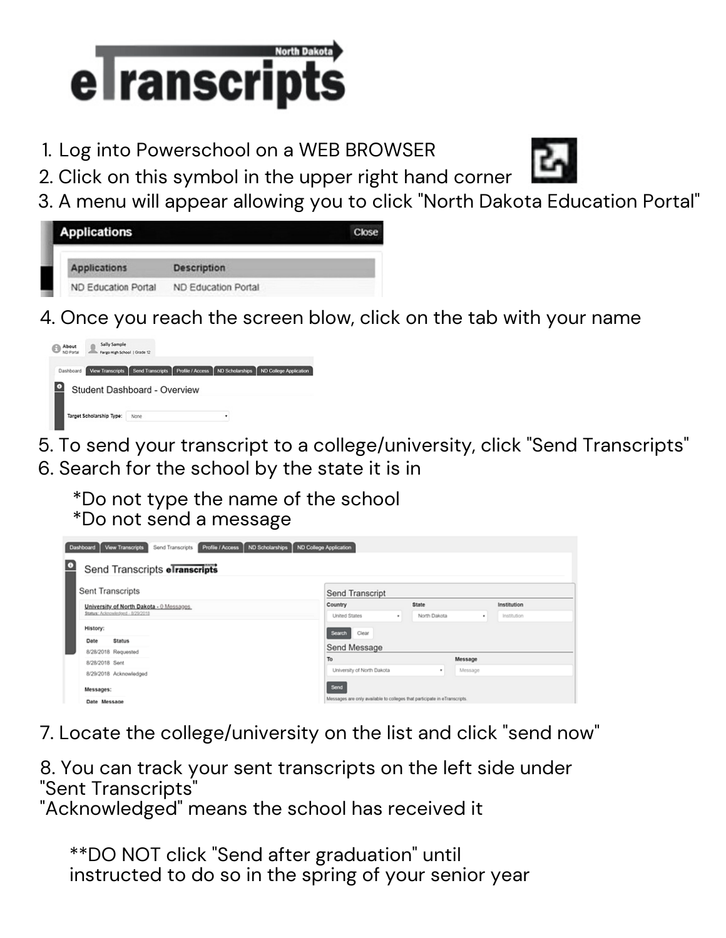

1. Log into Powerschool on a WEB BROWSER

2. Click on this symbol in the upper right hand corner

- 
- 3. A menu will appear allowing you to click "North Dakota Education Portal"

| Applications               |                     | Close |
|----------------------------|---------------------|-------|
| <b>Applications</b>        | <b>Description</b>  |       |
| <b>ND Education Portal</b> | ND Education Portal |       |

4. Once you reach the screen blow, click on the tab with your name



- 5. To send your transcript to a college/university, click "Send Transcripts" 6. Search for the school by the state it is in
	- \*Do not type the name of the school \*Do not send a message

| <b>ND Scholarships</b><br>Profile / Access<br>ND College Application<br>View Transcripts<br>Dashboard<br>Send Transcripts |                                                                           |              |             |  |  |
|---------------------------------------------------------------------------------------------------------------------------|---------------------------------------------------------------------------|--------------|-------------|--|--|
| $\bullet$<br>Send Transcripts elranscripts                                                                                |                                                                           |              |             |  |  |
| Sent Transcripts                                                                                                          | Send Transcript                                                           |              |             |  |  |
| University of North Dakota - 0 Messages                                                                                   | Country                                                                   | <b>State</b> | Institution |  |  |
| Status: Acknowledged - 8/29/2018                                                                                          | United States<br>٠                                                        | North Dakota | Institution |  |  |
| History:                                                                                                                  | Search<br>Clear                                                           |              |             |  |  |
| <b>Status</b><br>Date                                                                                                     |                                                                           |              |             |  |  |
| 8/28/2018 Requested<br>8/28/2018 Sent                                                                                     | Send Message                                                              |              |             |  |  |
|                                                                                                                           | To                                                                        | Message      |             |  |  |
| 8/29/2018 Acknowledged                                                                                                    | University of North Dakota                                                | Message<br>٠ |             |  |  |
| Messages:                                                                                                                 | Send                                                                      |              |             |  |  |
| Date Message                                                                                                              | Messages are only available to colleges that participate in eTranscripts. |              |             |  |  |

7. Locate the college/university on the list and click "send now"

8. You can track your sent transcripts on the left side under "Sent Transcripts"

"Acknowledged" means the school has received it

\*\*DO NOT click "Send after graduation" until instructed to do so in the spring of your senior year